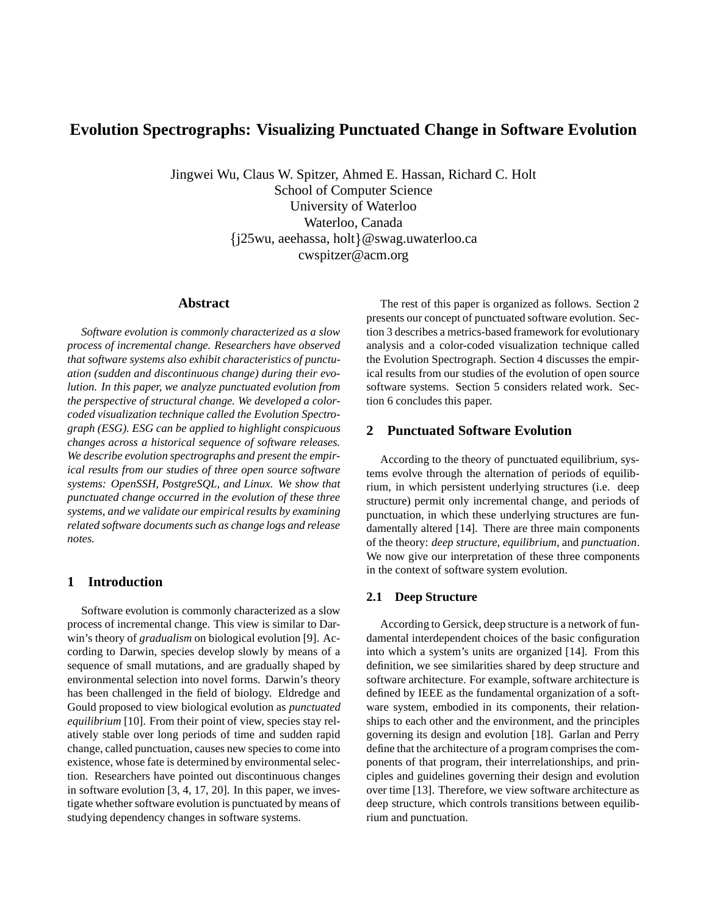# **Evolution Spectrographs: Visualizing Punctuated Change in Software Evolution**

Jingwei Wu, Claus W. Spitzer, Ahmed E. Hassan, Richard C. Holt School of Computer Science University of Waterloo Waterloo, Canada {j25wu, aeehassa, holt}@swag.uwaterloo.ca cwspitzer@acm.org

### **Abstract**

*Software evolution is commonly characterized as a slow process of incremental change. Researchers have observed that software systems also exhibit characteristics of punctuation (sudden and discontinuous change) during their evolution. In this paper, we analyze punctuated evolution from the perspective of structural change. We developed a colorcoded visualization technique called the Evolution Spectrograph (ESG). ESG can be applied to highlight conspicuous changes across a historical sequence of software releases. We describe evolution spectrographs and present the empirical results from our studies of three open source software systems: OpenSSH, PostgreSQL, and Linux. We show that punctuated change occurred in the evolution of these three systems, and we validate our empirical results by examining related software documents such as change logs and release notes.*

# **1 Introduction**

Software evolution is commonly characterized as a slow process of incremental change. This view is similar to Darwin's theory of *gradualism* on biological evolution [9]. According to Darwin, species develop slowly by means of a sequence of small mutations, and are gradually shaped by environmental selection into novel forms. Darwin's theory has been challenged in the field of biology. Eldredge and Gould proposed to view biological evolution as *punctuated equilibrium* [10]. From their point of view, species stay relatively stable over long periods of time and sudden rapid change, called punctuation, causes new species to come into existence, whose fate is determined by environmental selection. Researchers have pointed out discontinuous changes in software evolution [3, 4, 17, 20]. In this paper, we investigate whether software evolution is punctuated by means of studying dependency changes in software systems.

The rest of this paper is organized as follows. Section 2 presents our concept of punctuated software evolution. Section 3 describes a metrics-based framework for evolutionary analysis and a color-coded visualization technique called the Evolution Spectrograph. Section 4 discusses the empirical results from our studies of the evolution of open source software systems. Section 5 considers related work. Section 6 concludes this paper.

# **2 Punctuated Software Evolution**

According to the theory of punctuated equilibrium, systems evolve through the alternation of periods of equilibrium, in which persistent underlying structures (i.e. deep structure) permit only incremental change, and periods of punctuation, in which these underlying structures are fundamentally altered [14]. There are three main components of the theory: *deep structure*, *equilibrium*, and *punctuation*. We now give our interpretation of these three components in the context of software system evolution.

### **2.1 Deep Structure**

According to Gersick, deep structure is a network of fundamental interdependent choices of the basic configuration into which a system's units are organized [14]. From this definition, we see similarities shared by deep structure and software architecture. For example, software architecture is defined by IEEE as the fundamental organization of a software system, embodied in its components, their relationships to each other and the environment, and the principles governing its design and evolution [18]. Garlan and Perry define that the architecture of a program comprises the components of that program, their interrelationships, and principles and guidelines governing their design and evolution over time [13]. Therefore, we view software architecture as deep structure, which controls transitions between equilibrium and punctuation.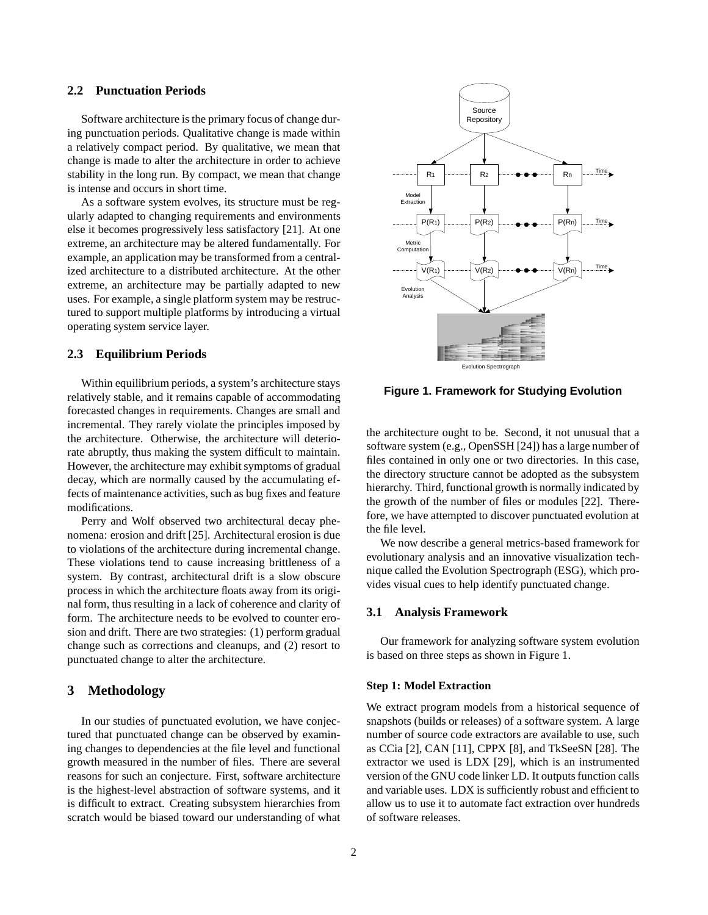### **2.2 Punctuation Periods**

Software architecture is the primary focus of change during punctuation periods. Qualitative change is made within a relatively compact period. By qualitative, we mean that change is made to alter the architecture in order to achieve stability in the long run. By compact, we mean that change is intense and occurs in short time.

As a software system evolves, its structure must be regularly adapted to changing requirements and environments else it becomes progressively less satisfactory [21]. At one extreme, an architecture may be altered fundamentally. For example, an application may be transformed from a centralized architecture to a distributed architecture. At the other extreme, an architecture may be partially adapted to new uses. For example, a single platform system may be restructured to support multiple platforms by introducing a virtual operating system service layer.

### **2.3 Equilibrium Periods**

Within equilibrium periods, a system's architecture stays relatively stable, and it remains capable of accommodating forecasted changes in requirements. Changes are small and incremental. They rarely violate the principles imposed by the architecture. Otherwise, the architecture will deteriorate abruptly, thus making the system difficult to maintain. However, the architecture may exhibit symptoms of gradual decay, which are normally caused by the accumulating effects of maintenance activities, such as bug fixes and feature modifications.

Perry and Wolf observed two architectural decay phenomena: erosion and drift [25]. Architectural erosion is due to violations of the architecture during incremental change. These violations tend to cause increasing brittleness of a system. By contrast, architectural drift is a slow obscure process in which the architecture floats away from its original form, thus resulting in a lack of coherence and clarity of form. The architecture needs to be evolved to counter erosion and drift. There are two strategies: (1) perform gradual change such as corrections and cleanups, and (2) resort to punctuated change to alter the architecture.

# **3 Methodology**

In our studies of punctuated evolution, we have conjectured that punctuated change can be observed by examining changes to dependencies at the file level and functional growth measured in the number of files. There are several reasons for such an conjecture. First, software architecture is the highest-level abstraction of software systems, and it is difficult to extract. Creating subsystem hierarchies from scratch would be biased toward our understanding of what



**Figure 1. Framework for Studying Evolution**

the architecture ought to be. Second, it not unusual that a software system (e.g., OpenSSH [24]) has a large number of files contained in only one or two directories. In this case, the directory structure cannot be adopted as the subsystem hierarchy. Third, functional growth is normally indicated by the growth of the number of files or modules [22]. Therefore, we have attempted to discover punctuated evolution at the file level.

We now describe a general metrics-based framework for evolutionary analysis and an innovative visualization technique called the Evolution Spectrograph (ESG), which provides visual cues to help identify punctuated change.

### **3.1 Analysis Framework**

Our framework for analyzing software system evolution is based on three steps as shown in Figure 1.

#### **Step 1: Model Extraction**

We extract program models from a historical sequence of snapshots (builds or releases) of a software system. A large number of source code extractors are available to use, such as CCia [2], CAN [11], CPPX [8], and TkSeeSN [28]. The extractor we used is LDX [29], which is an instrumented version of the GNU code linker LD. It outputs function calls and variable uses. LDX is sufficiently robust and efficient to allow us to use it to automate fact extraction over hundreds of software releases.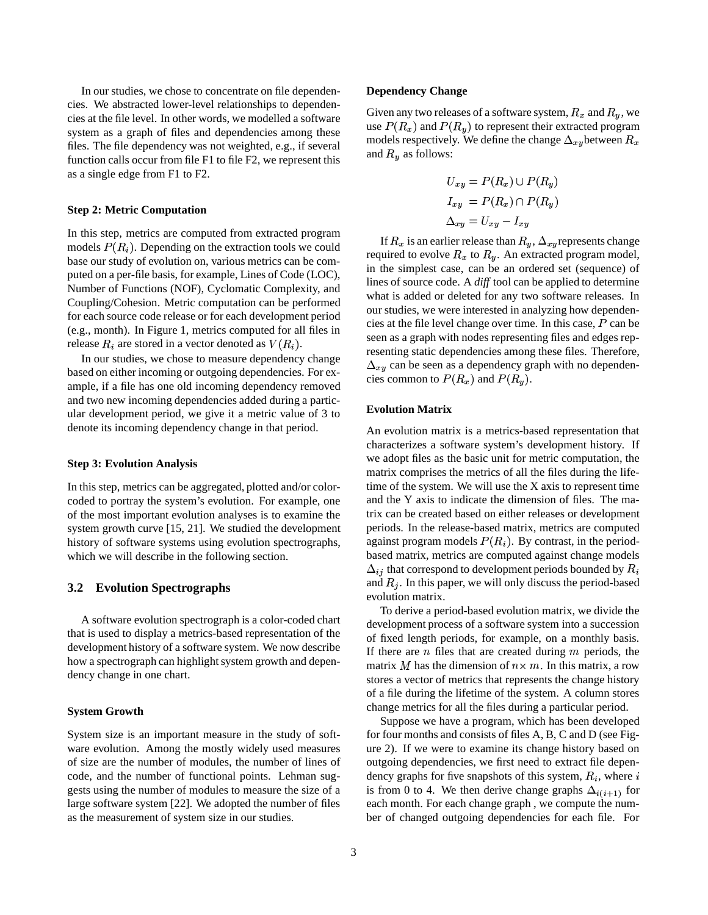In our studies, we chose to concentrate on file dependencies. We abstracted lower-level relationships to dependencies at the file level. In other words, we modelled a software system as a graph of files and dependencies among these files. The file dependency was not weighted, e.g., if several function calls occur from file F1 to file F2, we represent this as a single edge from F1 to F2.

### **Step 2: Metric Computation**

In this step, metrics are computed from extracted program models  $P(R_i)$ . Depending on the extraction tools we could base our study of evolution on, various metrics can be computed on a per-file basis, for example, Lines of Code (LOC), Number of Functions (NOF), Cyclomatic Complexity, and Coupling/Cohesion. Metric computation can be performed for each source code release or for each development period (e.g., month). In Figure 1, metrics computed for all files in release  $R_i$  are stored in a vector denoted as  $V(R_i)$ .

In our studies, we chose to measure dependency change based on either incoming or outgoing dependencies. For example, if a file has one old incoming dependency removed and two new incoming dependencies added during a particular development period, we give it a metric value of 3 to denote its incoming dependency change in that period.

### **Step 3: Evolution Analysis**

In this step, metrics can be aggregated, plotted and/or colorcoded to portray the system's evolution. For example, one of the most important evolution analyses is to examine the system growth curve [15, 21]. We studied the development history of software systems using evolution spectrographs, which we will describe in the following section.

### **3.2 Evolution Spectrographs**

A software evolution spectrograph is a color-coded chart that is used to display a metrics-based representation of the development history of a software system. We now describe how a spectrograph can highlight system growth and dependency change in one chart.

### **System Growth**

System size is an important measure in the study of software evolution. Among the mostly widely used measures of size are the number of modules, the number of lines of code, and the number of functional points. Lehman suggests using the number of modules to measure the size of a large software system [22]. We adopted the number of files as the measurement of system size in our studies.

#### **Dependency Change**

Given any two releases of a software system,  $R_x$  and  $R_y$ , we use  $P(R_x)$  and  $P(R_y)$  to represent their extracted program models respectively. We define the change  $\Delta_{xy}$ between  $R_x$ and  $R_y$  as follows:

$$
U_{xy} = P(R_x) \cup P(R_y)
$$
  
\n
$$
I_{xy} = P(R_x) \cap P(R_y)
$$
  
\n
$$
\Delta_{xy} = U_{xy} - I_{xy}
$$

If  $R_x$  is an earlier release than  $R_y$ ,  $\Delta_{xy}$  represents change required to evolve  $R_x$  to  $R_y$ . An extracted program model, in the simplest case, can be an ordered set (sequence) of lines of source code. A *diff* tool can be applied to determine what is added or deleted for any two software releases. In our studies, we were interested in analyzing how dependencies at the file level change over time. In this case,  $P$  can be seen as a graph with nodes representing files and edges representing static dependencies among these files. Therefore,  $\Delta_{xy}$  can be seen as a dependency graph with no dependencies common to  $P(R_x)$  and  $P(R_y)$ .

### **Evolution Matrix**

An evolution matrix is a metrics-based representation that characterizes a software system's development history. If we adopt files as the basic unit for metric computation, the matrix comprises the metrics of all the files during the lifetime of the system. We will use the X axis to represent time and the Y axis to indicate the dimension of files. The matrix can be created based on either releases or development periods. In the release-based matrix, metrics are computed against program models  $P(R_i)$ . By contrast, in the periodbased matrix, metrics are computed against change models  $\Delta_{ij}$  that correspond to development periods bounded by  $R_i$ and  $R_i$ . In this paper, we will only discuss the period-based evolution matrix.

To derive a period-based evolution matrix, we divide the development process of a software system into a succession of fixed length periods, for example, on a monthly basis. If there are  $n$  files that are created during  $m$  periods, the matrix M has the dimension of  $n \times m$ . In this matrix, a row stores a vector of metrics that represents the change history of a file during the lifetime of the system. A column stores change metrics for all the files during a particular period.

Suppose we have a program, which has been developed for four months and consists of files A, B, C and D (see Figure 2). If we were to examine its change history based on outgoing dependencies, we first need to extract file dependency graphs for five snapshots of this system,  $R_i$ , where  $i$ is from 0 to 4. We then derive change graphs  $\Delta_{i(i+1)}$  for each month. For each change graph , we compute the number of changed outgoing dependencies for each file. For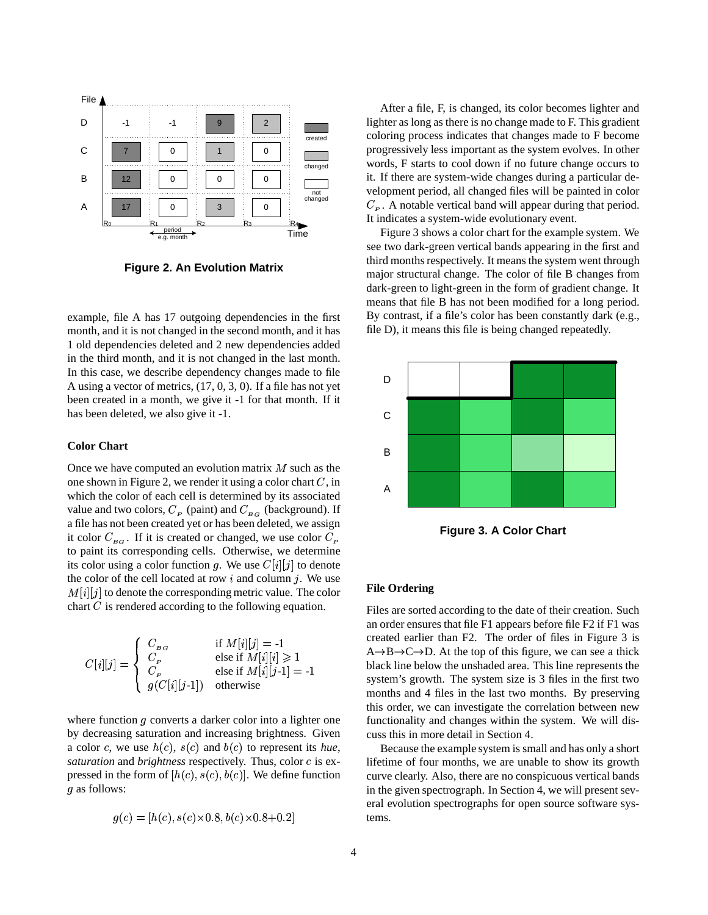

**Figure 2. An Evolution Matrix**

example, file A has 17 outgoing dependencies in the first month, and it is not changed in the second month, and it has 1 old dependencies deleted and 2 new dependencies added in the third month, and it is not changed in the last month. In this case, we describe dependency changes made to file A using a vector of metrics, (17, 0, 3, 0). If a file has not yet been created in a month, we give it -1 for that month. If it has been deleted, we also give it -1.

# **Color Chart**

Once we have computed an evolution matrix  $M$  such as the one shown in Figure 2, we render it using a color chart  $C$ , in which the color of each cell is determined by its associated value and two colors,  $C_p$  (paint) and  $C_{B_G}$  (background). If a file has not been created yet or has been deleted, we assign it color  $C_{BG}$ . If it is created or changed, we use color  $C_{P}$ to paint its corresponding cells. Otherwise, we determine its color using a color function g. We use  $C[i][j]$  to denote the color of the cell located at row  $i$  and column  $j$ . We use  $M[i][j]$  to denote the corresponding metric value. The color chart  $C$  is rendered according to the following equation.

$$
C[i][j] = \begin{cases} C_{BG} & \text{if } M[i][j] = -1 \\ C_{P} & \text{else if } M[i][i] \geq 1 \\ C_{P} & \text{else if } M[i][j-1] = -1 \\ g(C[i][j-1]) & \text{otherwise} \end{cases}
$$

where function  $q$  converts a darker color into a lighter one by decreasing saturation and increasing brightness. Given a color c, we use  $h(c)$ ,  $s(c)$  and  $b(c)$  to represent its *hue*, saturation and brightness respectively. Thus, color c is expressed in the form of  $[h(c), s(c), b(c)]$ . We define function g as follows:

$$
g(c) = [h(c), s(c) \times 0.8, b(c) \times 0.8 + 0.2]
$$

After a file, F, is changed, its color becomes lighter and lighter as long as there is no change made to F. This gradient coloring process indicates that changes made to F become progressively less important as the system evolves. In other words, F starts to cool down if no future change occurs to it. If there are system-wide changes during a particular development period, all changed files will be painted in color  $C<sub>p</sub>$ . A notable vertical band will appear during that period. It indicates a system-wide evolutionary event.

Figure 3 shows a color chart for the example system. We see two dark-green vertical bands appearing in the first and third months respectively. It means the system went through major structural change. The color of file B changes from dark-green to light-green in the form of gradient change. It means that file B has not been modified for a long period. By contrast, if a file's color has been constantly dark (e.g., file D), it means this file is being changed repeatedly.



**Figure 3. A Color Chart**

#### **File Ordering**

Files are sorted according to the date of their creation. Such an order ensures that file F1 appears before file F2 if F1 was created earlier than F2. The order of files in Figure 3 is  $A \rightarrow B \rightarrow C \rightarrow D$ . At the top of this figure, we can see a thick black line below the unshaded area. This line represents the system's growth. The system size is 3 files in the first two months and 4 files in the last two months. By preserving this order, we can investigate the correlation between new functionality and changes within the system. We will discuss this in more detail in Section 4.

Because the example system is small and has only a short lifetime of four months, we are unable to show its growth curve clearly. Also, there are no conspicuous vertical bands in the given spectrograph. In Section 4, we will present several evolution spectrographs for open source software systems.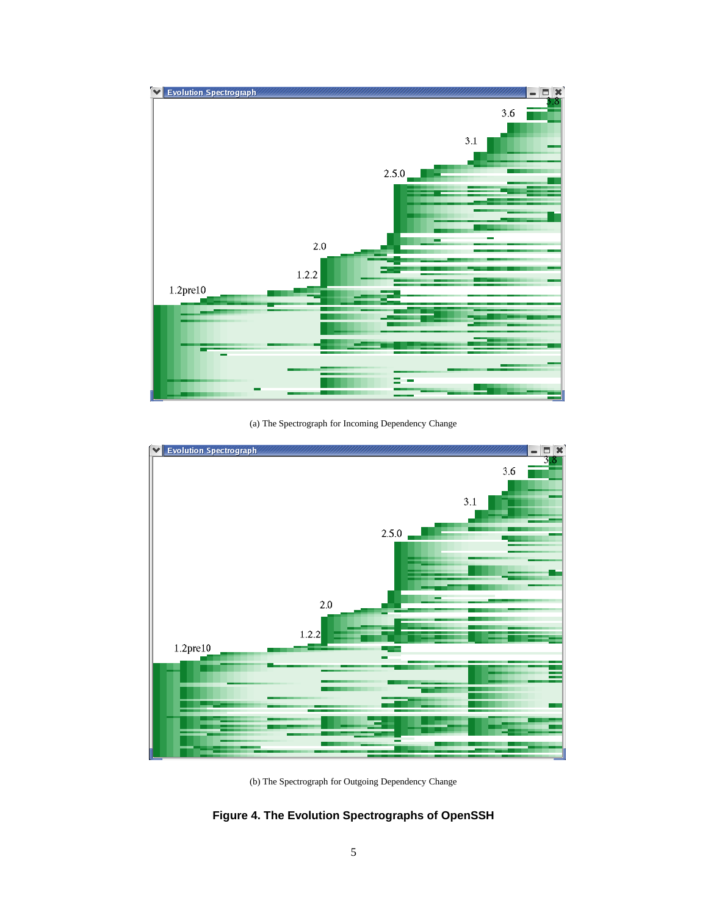

(a) The Spectrograph for Incoming Dependency Change



(b) The Spectrograph for Outgoing Dependency Change

**Figure 4. The Evolution Spectrographs of OpenSSH**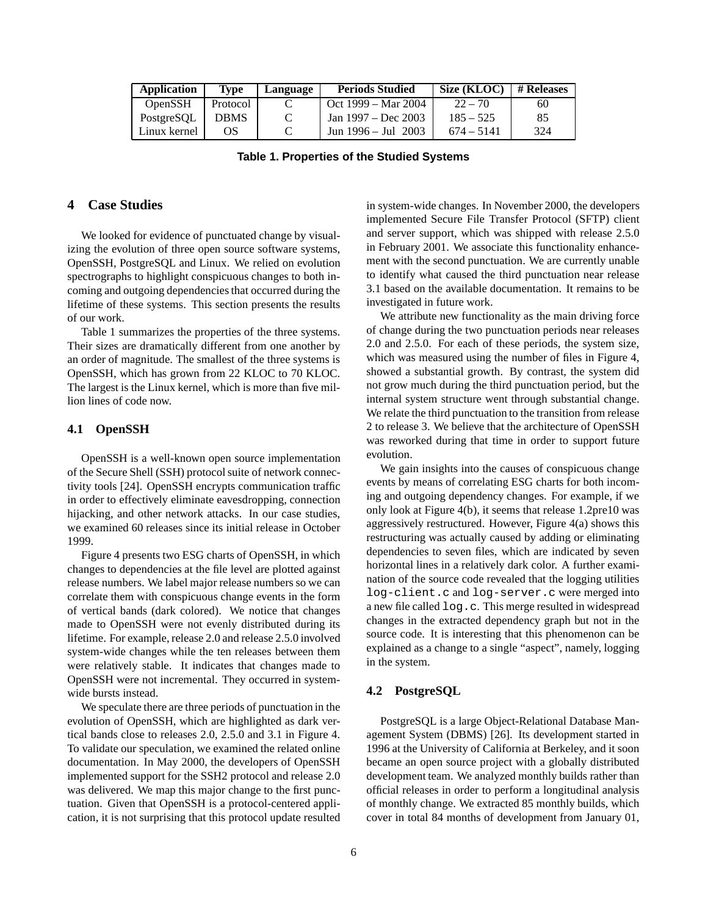| <b>Application</b> | Type        | Language | <b>Periods Studied</b>  | Size (KLOC)  | # Releases |
|--------------------|-------------|----------|-------------------------|--------------|------------|
| <b>OpenSSH</b>     | Protocol    |          | Oct 1999 – Mar 2004     | $22 - 70$    | 60         |
| PostgreSOL         | <b>DBMS</b> | C        | Jan 1997 – Dec 2003     | $185 - 525$  | 85         |
| Linux kernel       | ΩS          |          | Jun $1996 -$ Jul $2003$ | $674 - 5141$ | 324        |

**Table 1. Properties of the Studied Systems**

# **4 Case Studies**

We looked for evidence of punctuated change by visualizing the evolution of three open source software systems, OpenSSH, PostgreSQL and Linux. We relied on evolution spectrographs to highlight conspicuous changes to both incoming and outgoing dependenciesthat occurred during the lifetime of these systems. This section presents the results of our work.

Table 1 summarizes the properties of the three systems. Their sizes are dramatically different from one another by an order of magnitude. The smallest of the three systems is OpenSSH, which has grown from 22 KLOC to 70 KLOC. The largest is the Linux kernel, which is more than five million lines of code now.

### **4.1 OpenSSH**

OpenSSH is a well-known open source implementation of the Secure Shell (SSH) protocol suite of network connectivity tools [24]. OpenSSH encrypts communication traffic in order to effectively eliminate eavesdropping, connection hijacking, and other network attacks. In our case studies, we examined 60 releases since its initial release in October 1999.

Figure 4 presents two ESG charts of OpenSSH, in which changes to dependencies at the file level are plotted against release numbers. We label major release numbers so we can correlate them with conspicuous change events in the form of vertical bands (dark colored). We notice that changes made to OpenSSH were not evenly distributed during its lifetime. For example, release 2.0 and release 2.5.0 involved system-wide changes while the ten releases between them were relatively stable. It indicates that changes made to OpenSSH were not incremental. They occurred in systemwide bursts instead.

We speculate there are three periods of punctuation in the evolution of OpenSSH, which are highlighted as dark vertical bands close to releases 2.0, 2.5.0 and 3.1 in Figure 4. To validate our speculation, we examined the related online documentation. In May 2000, the developers of OpenSSH implemented support for the SSH2 protocol and release 2.0 was delivered. We map this major change to the first punctuation. Given that OpenSSH is a protocol-centered application, it is not surprising that this protocol update resulted in system-wide changes. In November 2000, the developers implemented Secure File Transfer Protocol (SFTP) client and server support, which was shipped with release 2.5.0 in February 2001. We associate this functionality enhancement with the second punctuation. We are currently unable to identify what caused the third punctuation near release 3.1 based on the available documentation. It remains to be investigated in future work.

We attribute new functionality as the main driving force of change during the two punctuation periods near releases 2.0 and 2.5.0. For each of these periods, the system size, which was measured using the number of files in Figure 4, showed a substantial growth. By contrast, the system did not grow much during the third punctuation period, but the internal system structure went through substantial change. We relate the third punctuation to the transition from release 2 to release 3. We believe that the architecture of OpenSSH was reworked during that time in order to support future evolution.

We gain insights into the causes of conspicuous change events by means of correlating ESG charts for both incoming and outgoing dependency changes. For example, if we only look at Figure 4(b), it seems that release 1.2pre10 was aggressively restructured. However, Figure 4(a) shows this restructuring was actually caused by adding or eliminating dependencies to seven files, which are indicated by seven horizontal lines in a relatively dark color. A further examination of the source code revealed that the logging utilities log-client.c and log-server.c were merged into a new file called log.c. This merge resulted in widespread changes in the extracted dependency graph but not in the source code. It is interesting that this phenomenon can be explained as a change to a single "aspect", namely, logging in the system.

### **4.2 PostgreSQL**

PostgreSQL is a large Object-Relational Database Management System (DBMS) [26]. Its development started in 1996 at the University of California at Berkeley, and it soon became an open source project with a globally distributed development team. We analyzed monthly builds rather than official releases in order to perform a longitudinal analysis of monthly change. We extracted 85 monthly builds, which cover in total 84 months of development from January 01,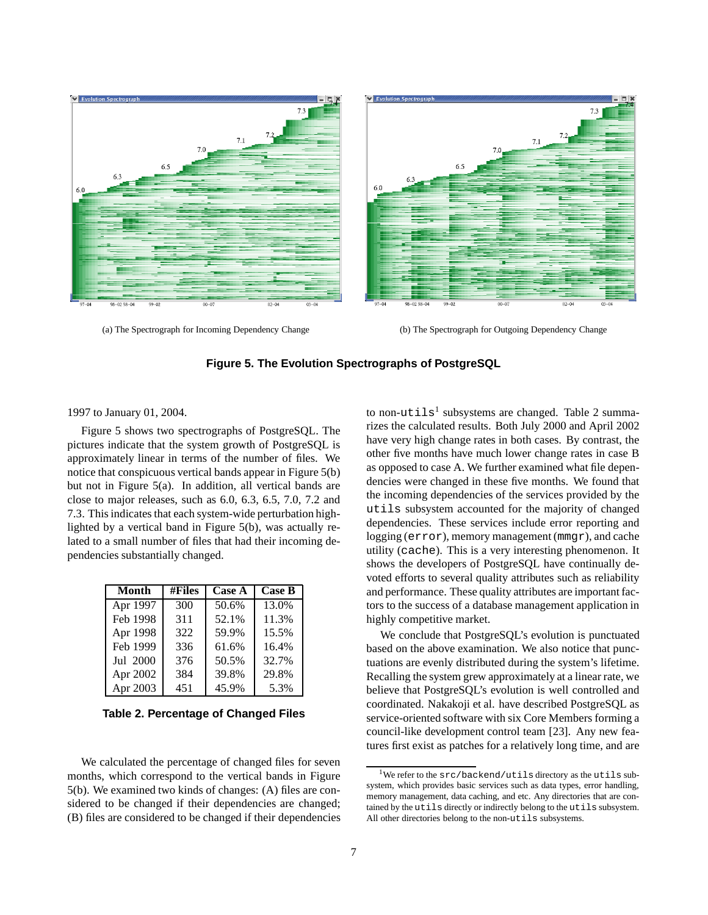

(a) The Spectrograph for Incoming Dependency Change (b) The Spectrograph for Outgoing Dependency Change

**Figure 5. The Evolution Spectrographs of PostgreSQL**

1997 to January 01, 2004.

Figure 5 shows two spectrographs of PostgreSQL. The pictures indicate that the system growth of PostgreSQL is approximately linear in terms of the number of files. We notice that conspicuous vertical bands appear in Figure 5(b) but not in Figure 5(a). In addition, all vertical bands are close to major releases, such as 6.0, 6.3, 6.5, 7.0, 7.2 and 7.3. This indicates that each system-wide perturbation highlighted by a vertical band in Figure 5(b), was actually related to a small number of files that had their incoming dependencies substantially changed.

| <b>Month</b>          | #Files | <b>Case A</b> | <b>Case B</b> |
|-----------------------|--------|---------------|---------------|
| Apr $19\overline{97}$ | 300    | 50.6%         | 13.0%         |
| Feb 1998              | 311    | 52.1%         | 11.3%         |
| Apr 1998              | 322    | 59.9%         | 15.5%         |
| Feb 1999              | 336    | 61.6%         | 16.4%         |
| Jul 2000              | 376    | 50.5%         | 32.7%         |
| Apr 2002              | 384    | 39.8%         | 29.8%         |
| Apr 2003              | 451    | 45.9%         | 5.3%          |

**Table 2. Percentage of Changed Files**

We calculated the percentage of changed files for seven months, which correspond to the vertical bands in Figure 5(b). We examined two kinds of changes: (A) files are considered to be changed if their dependencies are changed; (B) files are considered to be changed if their dependencies

to non-utils<sup>1</sup> subsystems are changed. Table 2 summarizes the calculated results. Both July 2000 and April 2002 have very high change rates in both cases. By contrast, the other five months have much lower change rates in case B as opposed to case A. We further examined what file dependencies were changed in these five months. We found that the incoming dependencies of the services provided by the utils subsystem accounted for the majority of changed dependencies. These services include error reporting and logging (error), memory management (mmgr), and cache utility (cache). This is a very interesting phenomenon. It shows the developers of PostgreSQL have continually devoted efforts to several quality attributes such as reliability and performance. These quality attributes are important factors to the success of a database management application in highly competitive market.

We conclude that PostgreSQL's evolution is punctuated based on the above examination. We also notice that punctuations are evenly distributed during the system's lifetime. Recalling the system grew approximately at a linear rate, we believe that PostgreSQL's evolution is well controlled and coordinated. Nakakoji et al. have described PostgreSQL as service-oriented software with six Core Members forming a council-like development control team [23]. Any new features first exist as patches for a relatively long time, and are

We refer to the src/backend/utils directory as the utils subsystem, which provides basic services such as data types, error handling, memory management, data caching, and etc. Any directories that are contained by the utils directly or indirectly belong to the utils subsystem. All other directories belong to the non-utils subsystems.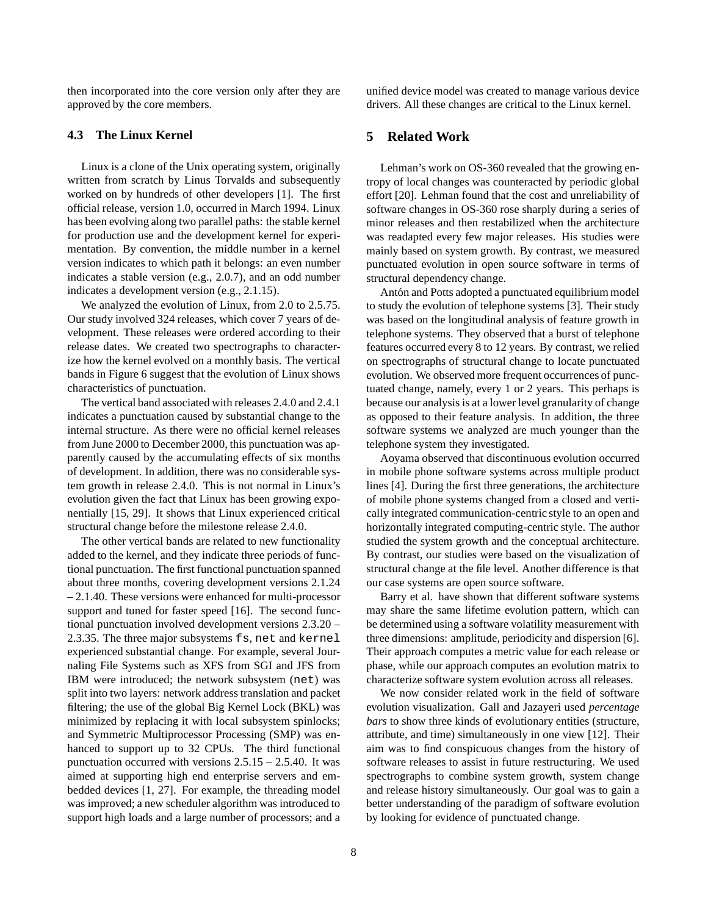then incorporated into the core version only after they are approved by the core members.

# **4.3 The Linux Kernel**

Linux is a clone of the Unix operating system, originally written from scratch by Linus Torvalds and subsequently worked on by hundreds of other developers [1]. The first official release, version 1.0, occurred in March 1994. Linux has been evolving along two parallel paths: the stable kernel for production use and the development kernel for experimentation. By convention, the middle number in a kernel version indicates to which path it belongs: an even number indicates a stable version (e.g., 2.0.7), and an odd number indicates a development version (e.g., 2.1.15).

We analyzed the evolution of Linux, from 2.0 to 2.5.75. Our study involved 324 releases, which cover 7 years of development. These releases were ordered according to their release dates. We created two spectrographs to characterize how the kernel evolved on a monthly basis. The vertical bands in Figure 6 suggest that the evolution of Linux shows characteristics of punctuation.

The vertical band associated with releases 2.4.0 and 2.4.1 indicates a punctuation caused by substantial change to the internal structure. As there were no official kernel releases from June 2000 to December 2000, this punctuation was apparently caused by the accumulating effects of six months of development. In addition, there was no considerable system growth in release 2.4.0. This is not normal in Linux's evolution given the fact that Linux has been growing exponentially [15, 29]. It shows that Linux experienced critical structural change before the milestone release 2.4.0.

The other vertical bands are related to new functionality added to the kernel, and they indicate three periods of functional punctuation. The first functional punctuation spanned about three months, covering development versions 2.1.24 – 2.1.40. These versions were enhanced for multi-processor support and tuned for faster speed [16]. The second functional punctuation involved development versions 2.3.20 – 2.3.35. The three major subsystems fs, net and kernel experienced substantial change. For example, several Journaling File Systems such as XFS from SGI and JFS from IBM were introduced; the network subsystem (net) was split into two layers: network address translation and packet filtering; the use of the global Big Kernel Lock (BKL) was minimized by replacing it with local subsystem spinlocks; and Symmetric Multiprocessor Processing (SMP) was enhanced to support up to 32 CPUs. The third functional punctuation occurred with versions  $2.5.15 - 2.5.40$ . It was aimed at supporting high end enterprise servers and embedded devices [1, 27]. For example, the threading model was improved; a new scheduler algorithm was introduced to support high loads and a large number of processors; and a

unified device model was created to manage various device drivers. All these changes are critical to the Linux kernel.

# **5 Related Work**

Lehman's work on OS-360 revealed that the growing entropy of local changes was counteracted by periodic global effort [20]. Lehman found that the cost and unreliability of software changes in OS-360 rose sharply during a series of minor releases and then restabilized when the architecture was readapted every few major releases. His studies were mainly based on system growth. By contrast, we measured punctuated evolution in open source software in terms of structural dependency change.

Antón and Potts adopted a punctuated equilibrium model to study the evolution of telephone systems [3]. Their study was based on the longitudinal analysis of feature growth in telephone systems. They observed that a burst of telephone features occurred every 8 to 12 years. By contrast, we relied on spectrographs of structural change to locate punctuated evolution. We observed more frequent occurrences of punctuated change, namely, every 1 or 2 years. This perhaps is because our analysis is at a lower level granularity of change as opposed to their feature analysis. In addition, the three software systems we analyzed are much younger than the telephone system they investigated.

Aoyama observed that discontinuous evolution occurred in mobile phone software systems across multiple product lines [4]. During the first three generations, the architecture of mobile phone systems changed from a closed and vertically integrated communication-centric style to an open and horizontally integrated computing-centric style. The author studied the system growth and the conceptual architecture. By contrast, our studies were based on the visualization of structural change at the file level. Another difference is that our case systems are open source software.

Barry et al. have shown that different software systems may share the same lifetime evolution pattern, which can be determined using a software volatility measurement with three dimensions: amplitude, periodicity and dispersion [6]. Their approach computes a metric value for each release or phase, while our approach computes an evolution matrix to characterize software system evolution across all releases.

We now consider related work in the field of software evolution visualization. Gall and Jazayeri used *percentage bars* to show three kinds of evolutionary entities (structure, attribute, and time) simultaneously in one view [12]. Their aim was to find conspicuous changes from the history of software releases to assist in future restructuring. We used spectrographs to combine system growth, system change and release history simultaneously. Our goal was to gain a better understanding of the paradigm of software evolution by looking for evidence of punctuated change.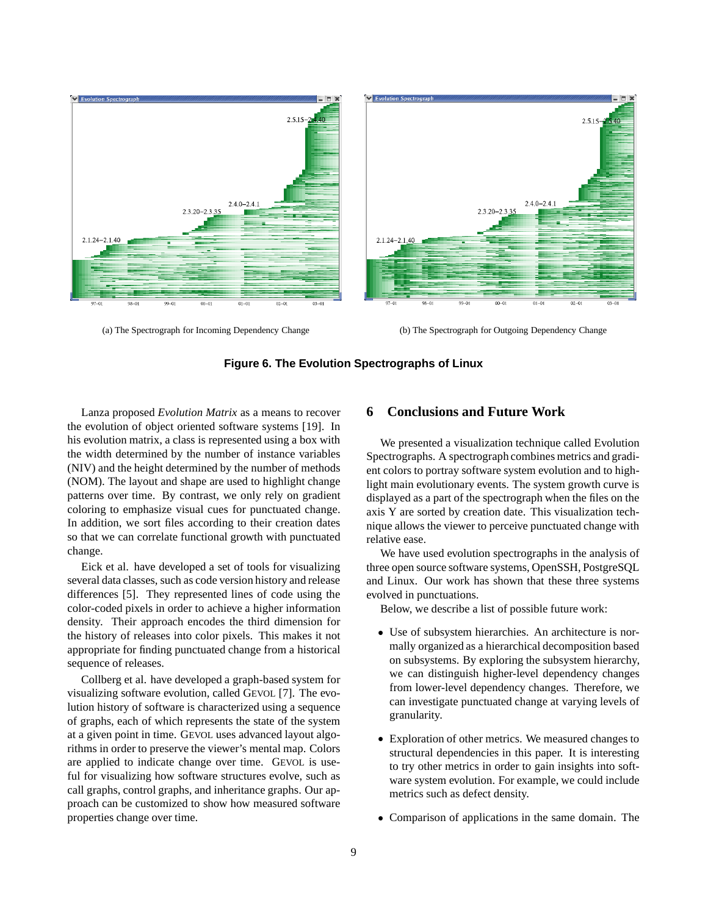

(a) The Spectrograph for Incoming Dependency Change (b) The Spectrograph for Outgoing Dependency Change



Lanza proposed *Evolution Matrix* as a means to recover the evolution of object oriented software systems [19]. In his evolution matrix, a class is represented using a box with the width determined by the number of instance variables (NIV) and the height determined by the number of methods (NOM). The layout and shape are used to highlight change patterns over time. By contrast, we only rely on gradient coloring to emphasize visual cues for punctuated change. In addition, we sort files according to their creation dates so that we can correlate functional growth with punctuated change.

Eick et al. have developed a set of tools for visualizing several data classes, such as code version history and release differences [5]. They represented lines of code using the color-coded pixels in order to achieve a higher information density. Their approach encodes the third dimension for the history of releases into color pixels. This makes it not appropriate for finding punctuated change from a historical sequence of releases.

Collberg et al. have developed a graph-based system for visualizing software evolution, called GEVOL [7]. The evolution history of software is characterized using a sequence of graphs, each of which represents the state of the system at a given point in time. GEVOL uses advanced layout algorithms in order to preserve the viewer's mental map. Colors are applied to indicate change over time. GEVOL is useful for visualizing how software structures evolve, such as call graphs, control graphs, and inheritance graphs. Our approach can be customized to show how measured software properties change over time.

# **6 Conclusions and Future Work**

We presented a visualization technique called Evolution Spectrographs. A spectrograph combines metrics and gradient colors to portray software system evolution and to highlight main evolutionary events. The system growth curve is displayed as a part of the spectrograph when the files on the axis Y are sorted by creation date. This visualization technique allows the viewer to perceive punctuated change with relative ease.

We have used evolution spectrographs in the analysis of three open source software systems, OpenSSH, PostgreSQL and Linux. Our work has shown that these three systems evolved in punctuations.

Below, we describe a list of possible future work:

- Use of subsystem hierarchies. An architecture is normally organized as a hierarchical decomposition based on subsystems. By exploring the subsystem hierarchy, we can distinguish higher-level dependency changes from lower-level dependency changes. Therefore, we can investigate punctuated change at varying levels of granularity.
- Exploration of other metrics. We measured changes to structural dependencies in this paper. It is interesting to try other metrics in order to gain insights into software system evolution. For example, we could include metrics such as defect density.
- Comparison of applications in the same domain. The